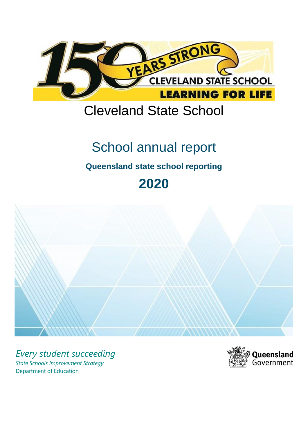

# Cleveland State School

# School annual report

# **Queensland state school reporting**

# **2020**



*Every student succeeding State Schools Improvement Strategy* Department of Education

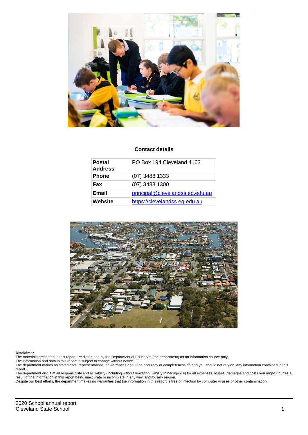

#### **Contact details**

| <b>Postal</b><br><b>Address</b> | PO Box 194 Cleveland 4163       |
|---------------------------------|---------------------------------|
| <b>Phone</b>                    | $(07)$ 3488 1333                |
| <b>Fax</b>                      | $(07)$ 3488 1300                |
| Email                           | principal@clevelandss.eq.edu.au |
| Website                         | https://clevelandss.eq.edu.au   |



#### **Disclaimer**

The materials presented in this report are distributed by the Department of Education (the department) as an information source only. The information and data in this report is subject to change without notice.

The department makes no statements, representations, or warranties about the accuracy or completeness of, and you should not rely on, any information contained in this report.

The department disclaim all responsibility and all liability (including without limitation, liability in negligence) for all expenses, losses, damages and costs you might incur as a<br>result of the information in this report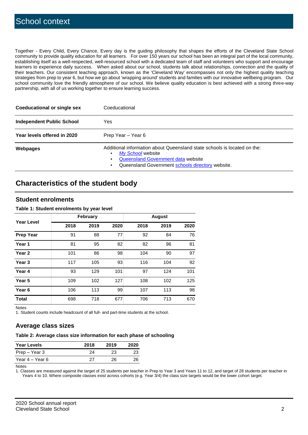Together - Every Child, Every Chance, Every day is the guiding philosophy that shapes the efforts of the Cleveland State School community to provide quality education for all learners. For over 150 years our school has been an integral part of the local community, establishing itself as a well-respected, well-resourced school with a dedicated team of staff and volunteers who support and encourage learners to experience daily success. When asked about our school, students talk about relationships, connection and the quality of their teachers. Our consistent teaching approach, known as the 'Cleveland Way' encompasses not only the highest quality teaching strategies from prep to year 6, but how we go about 'wrapping around' students and families with our innovative wellbeing program. Our school community love the friendly atmosphere of our school. We believe quality education is best achieved with a strong three-way partnership, with all of us working together to ensure learning success.

| <b>Coeducational or single sex</b> | Coeducational                                                                                                                                                                           |
|------------------------------------|-----------------------------------------------------------------------------------------------------------------------------------------------------------------------------------------|
| <b>Independent Public School</b>   | Yes                                                                                                                                                                                     |
| Year levels offered in 2020        | Prep Year - Year 6                                                                                                                                                                      |
| Webpages                           | Additional information about Queensland state schools is located on the:<br>My School website<br>Queensland Government data website<br>Queensland Government schools directory website. |

# **Characteristics of the student body**

## **Student enrolments**

#### **Table 1: Student enrolments by year level**

|                   |      | <b>February</b> |      |      | <b>August</b> |      |  |  |
|-------------------|------|-----------------|------|------|---------------|------|--|--|
| <b>Year Level</b> | 2018 | 2019            | 2020 | 2018 | 2019          | 2020 |  |  |
| <b>Prep Year</b>  | 91   | 88              | 77   | 92   | 84            | 76   |  |  |
| Year 1            | 81   | 95              | 82   | 82   | 96            | 81   |  |  |
| Year 2            | 101  | 86              | 98   | 104  | 90            | 97   |  |  |
| Year 3            | 117  | 105             | 93   | 116  | 104           | 92   |  |  |
| Year 4            | 93   | 129             | 101  | 97   | 124           | 101  |  |  |
| Year 5            | 109  | 102             | 127  | 108  | 102           | 125  |  |  |
| Year <sub>6</sub> | 106  | 113             | 99   | 107  | 113           | 98   |  |  |
| <b>Total</b>      | 698  | 718             | 677  | 706  | 713           | 670  |  |  |

Notes

1. Student counts include headcount of all full- and part-time students at the school.

## **Average class sizes**

#### **Table 2: Average class size information for each phase of schooling**

| <b>Year Levels</b> | 2018 | 2019 | 2020 |
|--------------------|------|------|------|
| Prep – Year 3      | 24   | 23   | 23   |
| Year 4 – Year 6    | っっ   | 26   | 26   |

Notes

1. Classes are measured against the target of 25 students per teacher in Prep to Year 3 and Years 11 to 12, and target of 28 students per teacher in Years 4 to 10. Where composite classes exist across cohorts (e.g. Year 3/4) the class size targets would be the lower cohort target.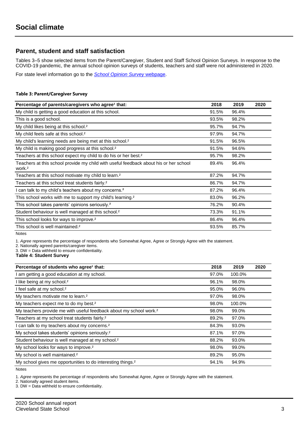## **Parent, student and staff satisfaction**

Tables 3–5 show selected items from the Parent/Caregiver, Student and Staff School Opinion Surveys. In response to the COVID-19 pandemic, the annual school opinion surveys of students, teachers and staff were not administered in 2020.

For state level information go to the *[School Opinion Survey](https://qed.qld.gov.au/publications/reports/statistics/schooling/schools/schoolopinionsurvey)* [webpage.](https://qed.qld.gov.au/publications/reports/statistics/schooling/schools/schoolopinionsurvey)

#### **Table 3: Parent/Caregiver Survey**

| Percentage of parents/caregivers who agree <sup>1</sup> that:                                               | 2018  | 2019  | 2020 |
|-------------------------------------------------------------------------------------------------------------|-------|-------|------|
| My child is getting a good education at this school.                                                        | 91.5% | 96.4% |      |
| This is a good school.                                                                                      | 93.5% | 98.2% |      |
| My child likes being at this school. <sup>2</sup>                                                           | 95.7% | 94.7% |      |
| My child feels safe at this school. <sup>2</sup>                                                            | 97.9% | 94.7% |      |
| My child's learning needs are being met at this school. <sup>2</sup>                                        | 91.5% | 96.5% |      |
| My child is making good progress at this school. <sup>2</sup>                                               | 91.5% | 94.6% |      |
| Teachers at this school expect my child to do his or her best. <sup>2</sup>                                 | 95.7% | 98.2% |      |
| Teachers at this school provide my child with useful feedback about his or her school<br>work. <sup>2</sup> | 89.4% | 96.4% |      |
| Teachers at this school motivate my child to learn. <sup>2</sup>                                            | 87.2% | 94.7% |      |
| Teachers at this school treat students fairly. <sup>2</sup>                                                 | 86.7% | 94.7% |      |
| I can talk to my child's teachers about my concerns. <sup>2</sup>                                           | 87.2% | 96.4% |      |
| This school works with me to support my child's learning. <sup>2</sup>                                      | 83.0% | 96.2% |      |
| This school takes parents' opinions seriously. <sup>2</sup>                                                 | 76.2% | 90.4% |      |
| Student behaviour is well managed at this school. <sup>2</sup>                                              | 73.3% | 91.1% |      |
| This school looks for ways to improve. <sup>2</sup>                                                         | 86.4% | 96.4% |      |
| This school is well maintained. <sup>2</sup>                                                                | 93.5% | 85.7% |      |

Notes

1. *Agree* represents the percentage of respondents who Somewhat Agree, Agree or Strongly Agree with the statement.

2. Nationally agreed parents/caregiver items.

3. DW = Data withheld to ensure confidentiality.

**Table 4: Student Survey**

| Percentage of students who agree <sup>1</sup> that:                            | 2018  | 2019   | 2020 |
|--------------------------------------------------------------------------------|-------|--------|------|
| I am getting a good education at my school.                                    | 97.0% | 100.0% |      |
| I like being at my school. <sup>2</sup>                                        | 96.1% | 98.0%  |      |
| I feel safe at my school. <sup>2</sup>                                         | 95.0% | 96.0%  |      |
| My teachers motivate me to learn. <sup>2</sup>                                 | 97.0% | 98.0%  |      |
| My teachers expect me to do my best. <sup>2</sup>                              | 98.0% | 100.0% |      |
| My teachers provide me with useful feedback about my school work. <sup>2</sup> | 98.0% | 99.0%  |      |
| Teachers at my school treat students fairly. <sup>2</sup>                      | 89.2% | 97.0%  |      |
| I can talk to my teachers about my concerns. <sup>2</sup>                      | 84.3% | 93.0%  |      |
| My school takes students' opinions seriously. <sup>2</sup>                     | 87.1% | 97.0%  |      |
| Student behaviour is well managed at my school. <sup>2</sup>                   | 88.2% | 93.0%  |      |
| My school looks for ways to improve. <sup>2</sup>                              | 98.0% | 99.0%  |      |
| My school is well maintained. <sup>2</sup>                                     | 89.2% | 95.0%  |      |
| My school gives me opportunities to do interesting things. <sup>2</sup>        | 94.1% | 94.9%  |      |

Notes

1. *Agree* represents the percentage of respondents who Somewhat Agree, Agree or Strongly Agree with the statement.

2. Nationally agreed student items.

3. DW = Data withheld to ensure confidentiality.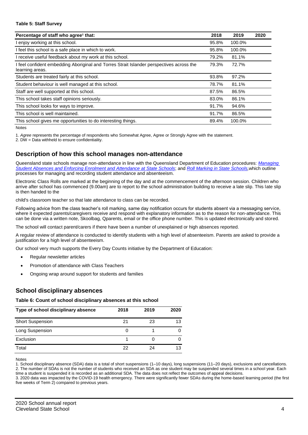#### **Table 5: Staff Survey**

| Percentage of staff who agree <sup>1</sup> that:                                                            | 2018  | 2019   | 2020 |
|-------------------------------------------------------------------------------------------------------------|-------|--------|------|
| I enjoy working at this school.                                                                             | 95.8% | 100.0% |      |
| I feel this school is a safe place in which to work.                                                        | 95.8% | 100.0% |      |
| I receive useful feedback about my work at this school.                                                     | 79.2% | 81.1%  |      |
| I feel confident embedding Aboriginal and Torres Strait Islander perspectives across the<br>learning areas. | 79.3% | 72.7%  |      |
| Students are treated fairly at this school.                                                                 | 93.8% | 97.2%  |      |
| Student behaviour is well managed at this school.                                                           | 78.7% | 81.1%  |      |
| Staff are well supported at this school.                                                                    | 87.5% | 86.5%  |      |
| This school takes staff opinions seriously.                                                                 | 83.0% | 86.1%  |      |
| This school looks for ways to improve.                                                                      | 91.7% | 94.6%  |      |
| This school is well maintained.                                                                             | 91.7% | 86.5%  |      |
| This school gives me opportunities to do interesting things.                                                | 89.4% | 100.0% |      |

Notes

1. *Agree* represents the percentage of respondents who Somewhat Agree, Agree or Strongly Agree with the statement.

2. DW = Data withheld to ensure confidentiality.

## **Description of how this school manages non-attendance**

Queensland state schools manage non-attendance in line with the Queensland Department of Education procedures: *[Managing](https://ppr.qed.qld.gov.au/pp/managing-student-absences-and-enforcing-enrolment-and-attendance-at-state-schools-procedure)  [Student Absences and Enforcing Enrolment and Attendance](https://ppr.qed.qld.gov.au/pp/managing-student-absences-and-enforcing-enrolment-and-attendance-at-state-schools-procedure) at State Schools*; and *[Roll Marking in State Schools,](https://ppr.qed.qld.gov.au/pp/roll-marking-in-state-schools-procedure)*which outline processes for managing and recording student attendance and absenteeism.

Electronic Class Rolls are marked at the beginning of the day and at the commencement of the afternoon session. Children who arrive after school has commenced (9.00am) are to report to the school administration building to receive a late slip. This late slip is then handed to the

child's classroom teacher so that late attendance to class can be recorded.

Following advice from the class teacher's roll marking, same day notification occurs for students absent via a messaging service, where it expected parents/caregivers receive and respond with explanatory information as to the reason for non-attendance. This can be done via a written note, Skoolbag, Qparents, email or the office phone number. This is updated electronically and stored.

The school will contact parent/carers if there have been a number of unexplained or high absences reported.

A regular review of attendance is conducted to identify students with a high level of absenteeism. Parents are asked to provide a justification for a high level of absenteeism.

Our school very much supports the Every Day Counts initiative by the Department of Education:

- Regular newsletter articles
- Promotion of attendance with Class Teachers
- Ongoing wrap around support for students and families

## **School disciplinary absences**

#### **Table 6: Count of school disciplinary absences at this school**

| Type of school disciplinary absence | 2018 | 2019 | 2020 |
|-------------------------------------|------|------|------|
| <b>Short Suspension</b>             | 21   | 23   | 13   |
| Long Suspension                     |      |      |      |
| Exclusion                           |      |      |      |
| Total                               | 22   | 24   | 13   |

Notes

1. School disciplinary absence (SDA) data is a total of short suspensions (1–10 days), long suspensions (11–20 days), exclusions and cancellations. 2. The number of SDAs is not the number of students who received an SDA as one student may be suspended several times in a school year. Each time a student is suspended it is recorded as an additional SDA. The data does not reflect the outcomes of appeal decisions.

3. 2020 data was impacted by the COVID-19 health emergency. There were significantly fewer SDAs during the home-based learning period (the first five weeks of Term 2) compared to previous years.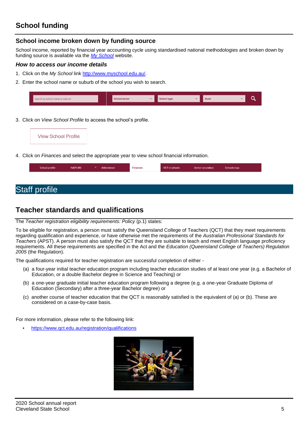# **School funding**

## **School income broken down by funding source**

School income, reported by financial year accounting cycle using standardised national methodologies and broken down by funding source is available via the *[My School](http://www.myschool.edu.au/)* website.

### *How to access our income details*

- 1. Click on the *My School* link [http://www.myschool.edu.au/.](http://www.myschool.edu.au/)
- 2. Enter the school name or suburb of the school you wish to search.

| Search by school name or suburb | <b>School sector</b> | $\checkmark$ | <b>School type</b> | <b>State</b> |  |
|---------------------------------|----------------------|--------------|--------------------|--------------|--|
|                                 |                      |              |                    |              |  |

3. Click on *View School Profile* to access the school's profile.



4. Click on *Finances* and select the appropriate year to view school financial information.

| School profile | <b>NAPLAN</b> | $\checkmark$ | Attendance | <b>Finances</b> | VET in schools | Senior secondary | Schools map |
|----------------|---------------|--------------|------------|-----------------|----------------|------------------|-------------|
|                |               |              |            |                 |                |                  |             |

# Staff profile

# **Teacher standards and qualifications**

The *Teacher registration eligibility requirements: Policy* (p.1) states:

To be eligible for registration, a person must satisfy the Queensland College of Teachers (QCT) that they meet requirements regarding qualification and experience, or have otherwise met the requirements of the *Australian Professional Standards for Teachers* (APST). A person must also satisfy the QCT that they are suitable to teach and meet English language proficiency requirements. All these requirements are specified in the Act and the *Education (Queensland College of Teachers) Regulation 2005* (the Regulation).

The qualifications required for teacher registration are successful completion of either -

- (a) a four-year initial teacher education program including teacher education studies of at least one year (e.g. a Bachelor of Education, or a double Bachelor degree in Science and Teaching) or
- (b) a one-year graduate initial teacher education program following a degree (e.g. a one-year Graduate Diploma of Education (Secondary) after a three-year Bachelor degree) or
- (c) another course of teacher education that the QCT is reasonably satisfied is the equivalent of (a) or (b). These are considered on a case-by-case basis.

For more information, please refer to the following link:

• <https://www.qct.edu.au/registration/qualifications>

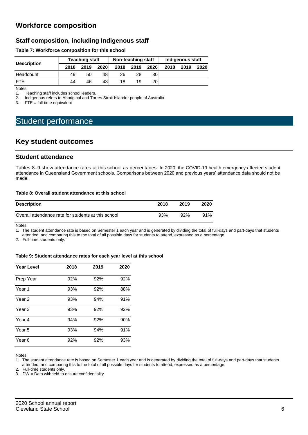# **Workforce composition**

## **Staff composition, including Indigenous staff**

#### **Table 7: Workforce composition for this school**

|                    | <b>Teaching staff</b> |      |      | Non-teaching staff |      |                 | Indigenous staff |      |      |
|--------------------|-----------------------|------|------|--------------------|------|-----------------|------------------|------|------|
| <b>Description</b> | 2018                  | 2019 | 2020 | 2018               | 2019 | 2020            | 2018             | 2019 | 2020 |
| Headcount          | 49                    | 50   | 48   | 26                 | 28   | 30              |                  |      |      |
| <b>FTF</b>         | 44                    | 46   | 43   | 18                 | 19   | 20 <sub>1</sub> |                  |      |      |

Notes

1. Teaching staff includes school leaders.<br>2. Indigenous refers to Aboriginal and Tor 2. Indigenous refers to Aboriginal and Torres Strait Islander people of Australia.<br>3. FTE = full-time equivalent

 $FTE = full-time equivalent$ 

# Student performance

## **Key student outcomes**

### **Student attendance**

Tables 8–9 show attendance rates at this school as percentages. In 2020, the COVID-19 health emergency affected student attendance in Queensland Government schools. Comparisons between 2020 and previous years' attendance data should not be made.

#### **Table 8: Overall student attendance at this school**

| <b>Description</b>                                  | 2018 | 2019 | 2020 |
|-----------------------------------------------------|------|------|------|
| Overall attendance rate for students at this school | 93%  | 92%  | 91%  |

Notes

1. The student attendance rate is based on Semester 1 each year and is generated by dividing the total of full-days and part-days that students attended, and comparing this to the total of all possible days for students to attend, expressed as a percentage.

2. Full-time students only.

#### **Table 9: Student attendance rates for each year level at this school**

| <b>Year Level</b> | 2018 | 2019 | 2020 |
|-------------------|------|------|------|
| Prep Year         | 92%  | 92%  | 92%  |
| Year <sub>1</sub> | 93%  | 92%  | 88%  |
| Year 2            | 93%  | 94%  | 91%  |
| Year <sub>3</sub> | 93%  | 92%  | 92%  |
| Year 4            | 94%  | 92%  | 90%  |
| Year 5            | 93%  | 94%  | 91%  |
| Year 6            | 92%  | 92%  | 93%  |

Notes

1. The student attendance rate is based on Semester 1 each year and is generated by dividing the total of full-days and part-days that students attended, and comparing this to the total of all possible days for students to attend, expressed as a percentage.

2. Full-time students only.

3. DW = Data withheld to ensure confidentiality